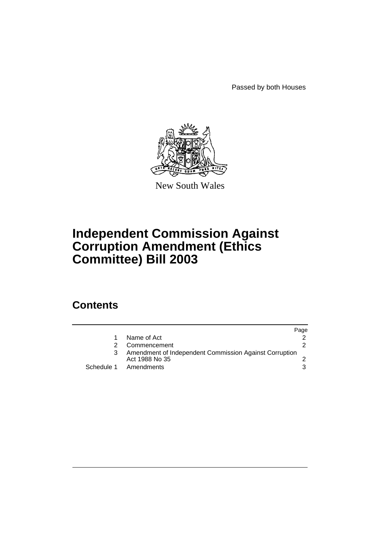Passed by both Houses



New South Wales

# **Independent Commission Against Corruption Amendment (Ethics Committee) Bill 2003**

### **Contents**

|                                                                          | Page |
|--------------------------------------------------------------------------|------|
| Name of Act                                                              |      |
| Commencement                                                             |      |
| Amendment of Independent Commission Against Corruption<br>Act 1988 No 35 |      |
| Schedule 1 Amendments                                                    |      |
|                                                                          |      |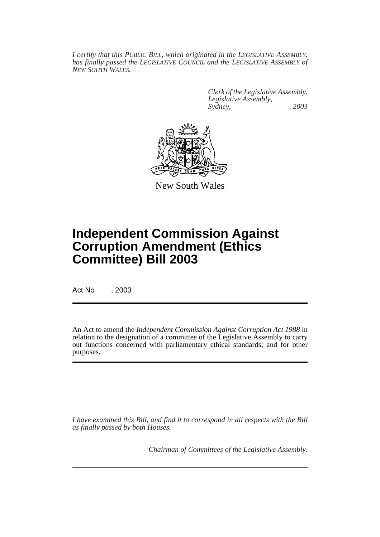*I certify that this PUBLIC BILL, which originated in the LEGISLATIVE ASSEMBLY, has finally passed the LEGISLATIVE COUNCIL and the LEGISLATIVE ASSEMBLY of NEW SOUTH WALES.*

> *Clerk of the Legislative Assembly. Legislative Assembly, Sydney, , 2003*



New South Wales

## **Independent Commission Against Corruption Amendment (Ethics Committee) Bill 2003**

Act No , 2003

An Act to amend the *Independent Commission Against Corruption Act 1988* in relation to the designation of a committee of the Legislative Assembly to carry out functions concerned with parliamentary ethical standards; and for other purposes.

*I have examined this Bill, and find it to correspond in all respects with the Bill as finally passed by both Houses.*

*Chairman of Committees of the Legislative Assembly.*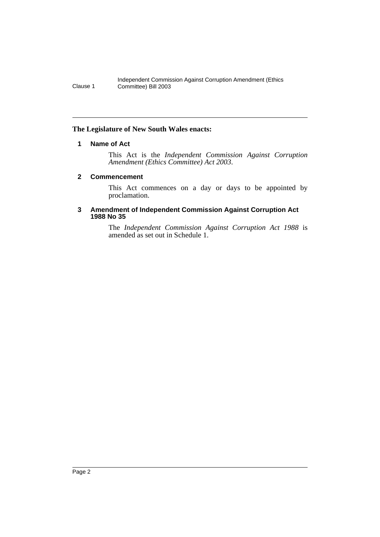#### **The Legislature of New South Wales enacts:**

#### **1 Name of Act**

This Act is the *Independent Commission Against Corruption Amendment (Ethics Committee) Act 2003*.

#### **2 Commencement**

This Act commences on a day or days to be appointed by proclamation.

#### **3 Amendment of Independent Commission Against Corruption Act 1988 No 35**

The *Independent Commission Against Corruption Act 1988* is amended as set out in Schedule 1.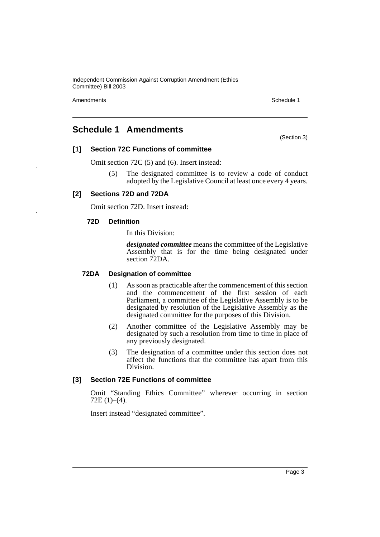Independent Commission Against Corruption Amendment (Ethics Committee) Bill 2003

Amendments **Schedule 1** and the set of the set of the set of the set of the set of the set of the set of the set of the set of the set of the set of the set of the set of the set of the set of the set of the set of the set

### **Schedule 1 Amendments**

(Section 3)

#### **[1] Section 72C Functions of committee**

Omit section 72C (5) and (6). Insert instead:

(5) The designated committee is to review a code of conduct adopted by the Legislative Council at least once every 4 years.

#### **[2] Sections 72D and 72DA**

Omit section 72D. Insert instead:

#### **72D Definition**

In this Division:

*designated committee* means the committee of the Legislative Assembly that is for the time being designated under section 72DA.

#### **72DA Designation of committee**

- (1) As soon as practicable after the commencement of this section and the commencement of the first session of each Parliament, a committee of the Legislative Assembly is to be designated by resolution of the Legislative Assembly as the designated committee for the purposes of this Division.
- (2) Another committee of the Legislative Assembly may be designated by such a resolution from time to time in place of any previously designated.
- (3) The designation of a committee under this section does not affect the functions that the committee has apart from this Division.

#### **[3] Section 72E Functions of committee**

Omit "Standing Ethics Committee" wherever occurring in section  $72E(1)–(4)$ .

Insert instead "designated committee".